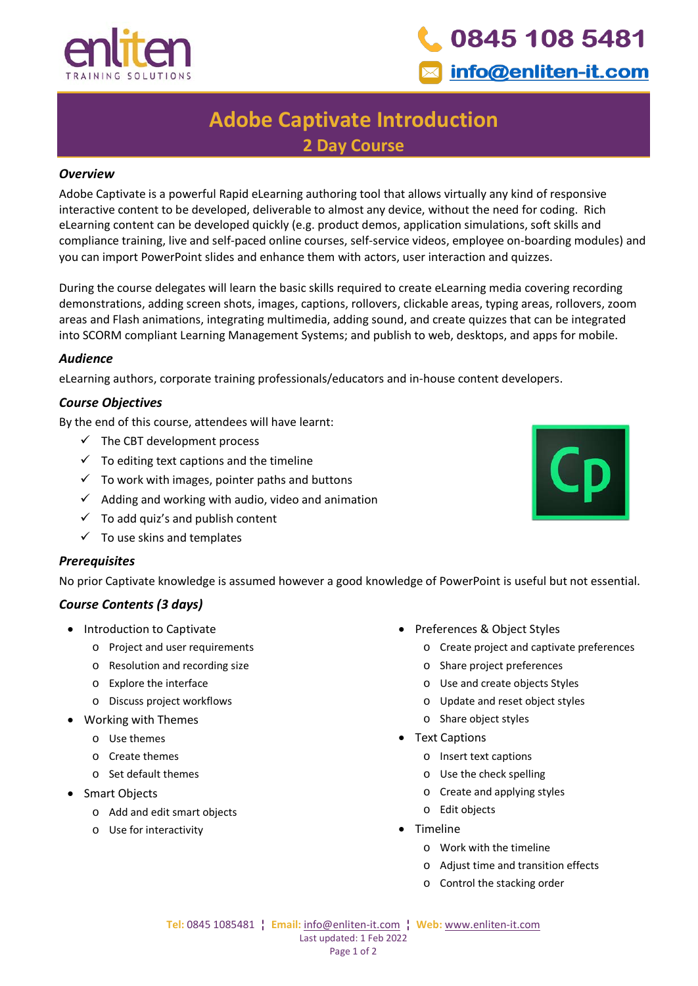



## **Adobe Captivate Introduction 2 Day Course**

#### *Overview*

Adobe Captivate is a powerful Rapid eLearning authoring tool that allows virtually any kind of responsive interactive content to be developed, deliverable to almost any device, without the need for coding. Rich eLearning content can be developed quickly (e.g. product demos, application simulations, soft skills and compliance training, live and self-paced online courses, self-service videos, employee on-boarding modules) and you can import PowerPoint slides and enhance them with actors, user interaction and quizzes.

During the course delegates will learn the basic skills required to create eLearning media covering recording demonstrations, adding screen shots, images, captions, rollovers, clickable areas, typing areas, rollovers, zoom areas and Flash animations, integrating multimedia, adding sound, and create quizzes that can be integrated into SCORM compliant Learning Management Systems; and publish to web, desktops, and apps for mobile.

#### *Audience*

eLearning authors, corporate training professionals/educators and in-house content developers.

#### *Course Objectives*

By the end of this course, attendees will have learnt:

- $\checkmark$  The CBT development process
- $\checkmark$  To editing text captions and the timeline
- $\checkmark$  To work with images, pointer paths and buttons
- $\checkmark$  Adding and working with audio, video and animation
- $\checkmark$  To add quiz's and publish content
- $\checkmark$  To use skins and templates

#### *Prerequisites*

No prior Captivate knowledge is assumed however a good knowledge of PowerPoint is useful but not essential.

### *Course Contents (3 days)*

- Introduction to Captivate
	- o Project and user requirements
	- o Resolution and recording size
	- o Explore the interface
	- o Discuss project workflows
- Working with Themes
	- o Use themes
	- o Create themes
	- o Set default themes
- Smart Objects
	- o Add and edit smart objects
	- o Use for interactivity
- Preferences & Object Styles
	- o Create project and captivate preferences
	- o Share project preferences
	- o Use and create objects Styles
	- o Update and reset object styles
	- o Share object styles
- Text Captions
	- o Insert text captions
	- o Use the check spelling
	- o Create and applying styles
	- o Edit objects
- Timeline
	- o Work with the timeline
	- o Adjust time and transition effects
	- o Control the stacking order